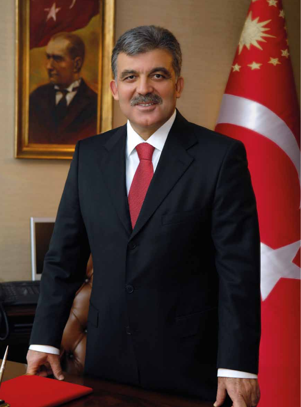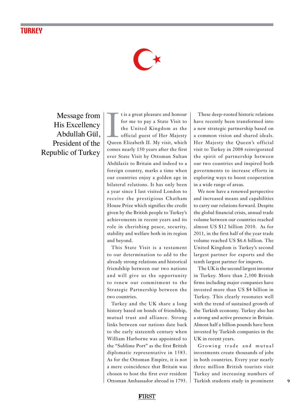## TURKEY

Message from His Excellency Abdullah Gül, President of the Republic of Turkey

It is a great pleasure and honour<br>for me to pay a State Visit to<br>the United Kingdom as the<br>official guest of Her Majesty<br>Queen Elizabeth II. My visit, which t is a great pleasure and honour for me to pay a State Visit to the United Kingdom as the official guest of Her Majesty comes nearly 150 years after the first ever State Visit by Ottoman Sultan Abdülaziz to Britain and indeed to a foreign country, marks a time when our countries enjoy a golden age in bilateral relations. It has only been a year since I last visited London to receive the prestigious Chatham House Prize which signifies the credit given by the British people to Turkey's achievements in recent years and its role in cherishing peace, security, stability and welfare both in its region and beyond.

This State Visit is a testament to our determination to add to the already strong relations and historical friendship between our two nations and will give us the opportunity to renew our commitment to the Strategic Partnership between the two countries.

Turkey and the UK share a long history based on bonds of friendship, mutual trust and alliance. Strong links between our nations date back to the early sixteenth century when William Harborne was appointed to the "Sublime Port" as the first British diplomatic representative in 1583. As for the Ottoman Empire, it is not a mere coincidence that Britain was chosen to host the first ever resident Ottoman Ambassador abroad in 1793.

These deep-rooted historic relations have recently been transformed into a new strategic partnership based on a common vision and shared ideals. Her Majesty the Queen's official visit to Turkey in 2008 reinvigorated the spirit of partnership between our two countries and inspired both governments to increase efforts in exploring ways to boost cooperation in a wide range of areas.

We now have a renewed perspective and increased means and capabilities to carry our relations forward. Despite the global financial crisis, annual trade volume between our countries reached almost US \$12 billion 2010. As for 2011, in the first half of the year trade volume reached US \$6.6 billion. The United Kingdom is Turkey's second largest partner for exports and the tenth largest partner for imports.

The UK is the second largest investor in Turkey. More than 2,300 British firms including major companies have invested more than US \$4 billion in Turkey. This clearly resonates well with the trend of sustained growth of the Turkish economy. Turkey also has a strong and active presence in Britain. Almost half a billion pounds have been invested by Turkish companies in the UK in recent years.

Growing trade and mutual investments create thousands of jobs in both countries. Every year nearly three million British tourists visit Turkey and increasing numbers of Turkish students study in prominent **9**

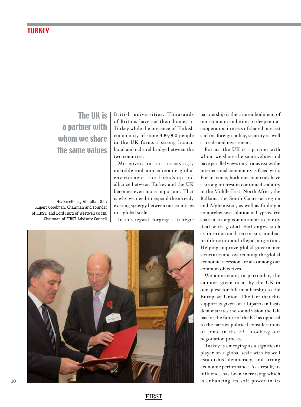## **TURKEY**

The UK is a partner with whom we share the same values

His Excellency Abdullah Gül; Rupert Goodman, Chairman and Founder of FIRST; and Lord Hurd of Westwell CH CBE, Chairman of FIRST Advisory Council

British universities. Thousands of Britons have set their homes in Turkey while the presence of Turkish community of some 400,000 people in the UK forms a strong human bond and cultural bridge between the two countries.

Moreover, in an increasingly unstable and unpredictable global environment, the friendship and alliance between Turkey and the UK becomes even more important. That is why we need to expand the already existing synergy between our countries to a global scale.

In this regard, forging a strategic



partnership is the true embodiment of our common ambition to deepen our cooperation in areas of shared interest such as foreign policy, security as well as trade and investment.

For us, the UK is a partner with whom we share the same values and have parallel views on various issues the international community is faced with. For instance, both our countries have a strong interest in continued stability in the Middle East, North Africa, the Balkans, the South Caucasus region and Afghanistan, as well as finding a comprehensive solution in Cyprus. We share a strong commitment to jointly deal with global challenges such as international terrorism, nuclear proliferation and illegal migration. Helping improve global governance structures and overcoming the global economic recession are also among our common objectives.

We appreciate, in particular, the support given to us by the UK in our quest for full membership to the European Union. The fact that this support is given on a bipartisan basis demonstrates the sound vision the UK has for the future of the EU as opposed to the narrow political considerations of some in the EU blocking our negotiation process.

Turkey is emerging as a significant player on a global scale with its well established democracy, and strong economic performance. As a result, its influence has been increasing which is enhancing its soft power in its

**F**IRST